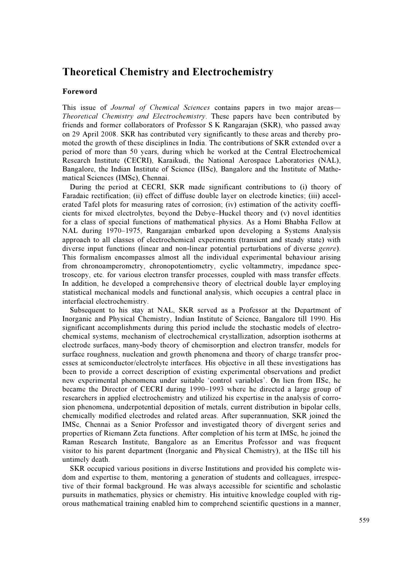## Theoretical Chemistry and Electrochemistry

## Foreword

This issue of *Journal of Chemical Sciences* contains papers in two major areas— Theoretical Chemistry and Electrochemistry. These papers have been contributed by friends and former collaborators of Professor S K Rangarajan (SKR), who passed away on 29 April 2008. SKR has contributed very significantly to these areas and thereby promoted the growth of these disciplines in India. The contributions of SKR extended over a period of more than 50 years, during which he worked at the Central Electrochemical Research Institute (CECRI), Karaikudi, the National Aerospace Laboratories (NAL), Bangalore, the Indian Institute of Science (IISc), Bangalore and the Institute of Mathematical Sciences (IMSc), Chennai.

 During the period at CECRI, SKR made significant contributions to (i) theory of Faradaic rectification; (ii) effect of diffuse double layer on electrode kinetics; (iii) accelerated Tafel plots for measuring rates of corrosion; (iv) estimation of the activity coefficients for mixed electrolytes, beyond the Debye–Huckel theory and (v) novel identities for a class of special functions of mathematical physics. As a Homi Bhabha Fellow at NAL during 1970–1975, Rangarajan embarked upon developing a Systems Analysis approach to all classes of electrochemical experiments (transient and steady state) with diverse input functions (linear and non-linear potential perturbations of diverse genre). This formalism encompasses almost all the individual experimental behaviour arising from chronoamperometry, chronopotentiometry, cyclic voltammetry, impedance spectroscopy, etc. for various electron transfer processes, coupled with mass transfer effects. In addition, he developed a comprehensive theory of electrical double layer employing statistical mechanical models and functional analysis, which occupies a central place in interfacial electrochemistry.

 Subsequent to his stay at NAL, SKR served as a Professor at the Department of Inorganic and Physical Chemistry, Indian Institute of Science, Bangalore till 1990. His significant accomplishments during this period include the stochastic models of electrochemical systems, mechanism of electrochemical crystallization, adsorption isotherms at electrode surfaces, many-body theory of chemisorption and electron transfer, models for surface roughness, nucleation and growth phenomena and theory of charge transfer processes at semiconductor/electrolyte interfaces. His objective in all these investigations has been to provide a correct description of existing experimental observations and predict new experimental phenomena under suitable 'control variables'. On lien from IISc, he became the Director of CECRI during 1990–1993 where he directed a large group of researchers in applied electrochemistry and utilized his expertise in the analysis of corrosion phenomena, underpotential deposition of metals, current distribution in bipolar cells, chemically modified electrodes and related areas. After superannuation, SKR joined the IMSc, Chennai as a Senior Professor and investigated theory of divergent series and properties of Riemann Zeta functions. After completion of his term at IMSc, he joined the Raman Research Institute, Bangalore as an Emeritus Professor and was frequent visitor to his parent department (Inorganic and Physical Chemistry), at the IISc till his untimely death.

 SKR occupied various positions in diverse Institutions and provided his complete wisdom and expertise to them, mentoring a generation of students and colleagues, irrespective of their formal background. He was always accessible for scientific and scholastic pursuits in mathematics, physics or chemistry. His intuitive knowledge coupled with rigorous mathematical training enabled him to comprehend scientific questions in a manner,